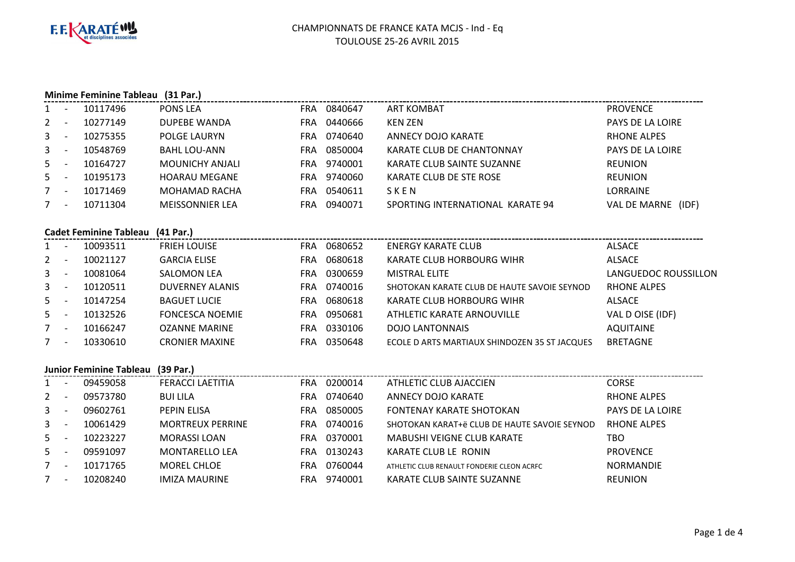

|              |                |                                   | Minime Feminine Tableau (31 Par.) |             |                                               |                      |
|--------------|----------------|-----------------------------------|-----------------------------------|-------------|-----------------------------------------------|----------------------|
|              | $1 -$          | 10117496                          | PONS LEA                          | FRA 0840647 | <b>ART KOMBAT</b>                             | <b>PROVENCE</b>      |
| 2            | $\sim$ $-$     | 10277149                          | <b>DUPEBE WANDA</b>               | FRA 0440666 | <b>KEN ZEN</b>                                | PAYS DE LA LOIRE     |
| 3            | $\sim$ $ \sim$ | 10275355                          | POLGE LAURYN                      | FRA 0740640 | <b>ANNECY DOJO KARATE</b>                     | <b>RHONE ALPES</b>   |
| $\mathbf{3}$ | $\sim$ $-$     | 10548769                          | <b>BAHL LOU-ANN</b>               | FRA 0850004 | KARATE CLUB DE CHANTONNAY                     | PAYS DE LA LOIRE     |
| $5 -$        |                | 10164727                          | MOUNICHY ANJALI                   | FRA 9740001 | KARATE CLUB SAINTE SUZANNE                    | <b>REUNION</b>       |
| $5 -$        |                | 10195173                          | <b>HOARAU MEGANE</b>              | FRA 9740060 | KARATE CLUB DE STE ROSE                       | <b>REUNION</b>       |
| $7 -$        |                | 10171469                          | MOHAMAD RACHA                     | FRA 0540611 | SKEN                                          | LORRAINE             |
| $7 -$        |                | 10711304                          | <b>MEISSONNIER LEA</b>            | FRA 0940071 | SPORTING INTERNATIONAL KARATE 94              | VAL DE MARNE (IDF)   |
|              |                | <b>Cadet Feminine Tableau</b>     | (41 Par.)                         |             |                                               |                      |
|              | $1 -$          | 10093511                          | <b>FRIEH LOUISE</b>               | FRA 0680652 | <b>ENERGY KARATE CLUB</b>                     | <b>ALSACE</b>        |
| 2            | $\sim$         | 10021127                          | <b>GARCIA ELISE</b>               | FRA 0680618 | KARATE CLUB HORBOURG WIHR                     | <b>ALSACE</b>        |
|              | $3 - -$        | 10081064                          | <b>SALOMON LEA</b>                | FRA 0300659 | <b>MISTRAL ELITE</b>                          | LANGUEDOC ROUSSILLON |
| $\mathbf{3}$ | $\sim 10^{-1}$ | 10120511                          | <b>DUVERNEY ALANIS</b>            | FRA 0740016 | SHOTOKAN KARATE CLUB DE HAUTE SAVOIE SEYNOD   | <b>RHONE ALPES</b>   |
| $5 -$        |                | 10147254                          | <b>BAGUET LUCIE</b>               | FRA 0680618 | KARATE CLUB HORBOURG WIHR                     | ALSACE               |
| $5 -$        |                | 10132526                          | <b>FONCESCA NOEMIE</b>            | FRA 0950681 | ATHLETIC KARATE ARNOUVILLE                    | VAL D OISE (IDF)     |
| $7 -$        |                | 10166247                          | <b>OZANNE MARINE</b>              | FRA 0330106 | <b>DOJO LANTONNAIS</b>                        | <b>AQUITAINE</b>     |
| $7 -$        |                | 10330610                          | <b>CRONIER MAXINE</b>             | FRA 0350648 | ECOLE D ARTS MARTIAUX SHINDOZEN 35 ST JACQUES | <b>BRETAGNE</b>      |
|              |                | Junior Feminine Tableau (39 Par.) |                                   |             |                                               |                      |
|              | $1 -$          | 09459058                          | <b>FERACCI LAETITIA</b>           | FRA 0200014 | ATHLETIC CLUB AJACCIEN                        | <b>CORSE</b>         |
| $2 -$        |                | 09573780                          | <b>BUI LILA</b>                   | FRA 0740640 | <b>ANNECY DOJO KARATE</b>                     | <b>RHONE ALPES</b>   |
| 3            | $\sim$ $-$     | 09602761                          | PEPIN ELISA                       | FRA 0850005 | <b>FONTENAY KARATE SHOTOKAN</b>               | PAYS DE LA LOIRE     |
| $\mathbf{3}$ | $\sim 100$     | 10061429                          | <b>MORTREUX PERRINE</b>           | FRA 0740016 | SHOTOKAN KARAT+ë CLUB DE HAUTE SAVOIE SEYNOD  | <b>RHONE ALPES</b>   |
| $5 -$        |                | 10223227                          | <b>MORASSI LOAN</b>               | FRA 0370001 | <b>MABUSHI VEIGNE CLUB KARATE</b>             | <b>TBO</b>           |
| $5 -$        |                | 09591097                          | <b>MONTARELLO LEA</b>             | FRA 0130243 | KARATE CLUB LE RONIN                          | <b>PROVENCE</b>      |
| $7 -$        |                | 10171765                          | MOREL CHLOE                       | FRA 0760044 | ATHLETIC CLUB RENAULT FONDERIE CLEON ACRFC    | <b>NORMANDIE</b>     |
|              |                | 10208240                          | <b>IMIZA MAURINE</b>              | FRA 9740001 | KARATE CLUB SAINTE SUZANNE                    | <b>REUNION</b>       |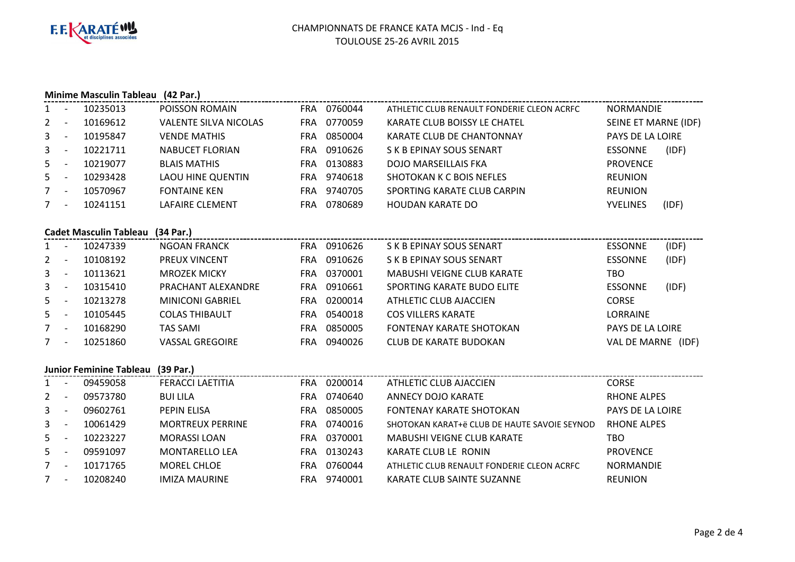

3

5

5

7

7

- <sup>10061429</sup> MORTREUX PERRINE FRA

- <sup>10171765</sup> MOREL CHLOE FRA

- 10223227 MORASSI LOAN<br>- 09591097 MONTARELLO L

- 09591097 MONTARELLO LEA<br>- 10171765 MOREL CHLOE

- 10208240 IMIZA MAURINE

FRA 0370001 MABUSHI VEIGNE CLUB KARATE<br>FRA 0130243 KARATE CLUB LE RONIN

KARATE CLUB SAINTE SUZANNE

FRA 0130243 KARATE CLUB LE RONIN<br>FRA 0760044 ATHLETIC CLUB RENAULT F

<sup>0740016</sup> SHOTOKAN KARAT+ë CLUB DE HAUTE SAVOIE SEYNOD RHONE ALPES

ATHLETIC CLUB RENAULT FONDERIE CLEON ACRFC NORMANDIE<br>KARATE CLUB SAINTE SUZANNE REUNION

N PROVENCE

|                | Minime Masculin Tableau (42 Par.)<br>------------------------------------ |                                   |                              |            |             |                                            |                      |       |  |  |  |
|----------------|---------------------------------------------------------------------------|-----------------------------------|------------------------------|------------|-------------|--------------------------------------------|----------------------|-------|--|--|--|
|                | $\overline{\phantom{a}}$                                                  | 10235013                          | POISSON ROMAIN               |            | FRA 0760044 | ATHLETIC CLUB RENAULT FONDERIE CLEON ACRFC | NORMANDIE            |       |  |  |  |
| 2              | $\overline{\phantom{a}}$                                                  | 10169612                          | <b>VALENTE SILVA NICOLAS</b> |            | FRA 0770059 | KARATE CLUB BOISSY LE CHATEL               | SEINE ET MARNE (IDF) |       |  |  |  |
| 3              | $\overline{\phantom{a}}$                                                  | 10195847                          | <b>VENDE MATHIS</b>          | <b>FRA</b> | 0850004     | <b>KARATE CLUB DE CHANTONNAY</b>           | PAYS DE LA LOIRE     |       |  |  |  |
| 3              | $\blacksquare$                                                            | 10221711                          | <b>NABUCET FLORIAN</b>       | <b>FRA</b> | 0910626     | S K B EPINAY SOUS SENART                   | <b>ESSONNE</b>       | (IDF) |  |  |  |
| 5.             | $\overline{\phantom{a}}$                                                  | 10219077                          | <b>BLAIS MATHIS</b>          | <b>FRA</b> | 0130883     | <b>DOJO MARSEILLAIS FKA</b>                | <b>PROVENCE</b>      |       |  |  |  |
| 5              | $\sim$                                                                    | 10293428                          | <b>LAOU HINE QUENTIN</b>     | <b>FRA</b> | 9740618     | <b>SHOTOKAN K C BOIS NEFLES</b>            | <b>REUNION</b>       |       |  |  |  |
| $7^{\circ}$    | $\overline{\phantom{a}}$                                                  | 10570967                          | <b>FONTAINE KEN</b>          | <b>FRA</b> | 9740705     | SPORTING KARATE CLUB CARPIN                | <b>REUNION</b>       |       |  |  |  |
| 7              | $\overline{\phantom{a}}$                                                  | 10241151                          | LAFAIRE CLEMENT              | <b>FRA</b> | 0780689     | <b>HOUDAN KARATE DO</b>                    | <b>YVELINES</b>      | (IDF) |  |  |  |
|                |                                                                           |                                   |                              |            |             |                                            |                      |       |  |  |  |
|                |                                                                           | <b>Cadet Masculin Tableau</b>     | (34 Par.)                    |            |             |                                            |                      |       |  |  |  |
|                | $\sim$                                                                    | 10247339                          | <b>NGOAN FRANCK</b>          |            | FRA 0910626 | S K B EPINAY SOUS SENART                   | <b>ESSONNE</b>       | (IDF) |  |  |  |
| 2              | $\overline{\phantom{a}}$                                                  | 10108192                          | PREUX VINCENT                | <b>FRA</b> | 0910626     | S K B EPINAY SOUS SENART                   | <b>ESSONNE</b>       | (IDF) |  |  |  |
| $\mathbf{3}$   | $\overline{\phantom{a}}$                                                  | 10113621                          | <b>MROZEK MICKY</b>          | <b>FRA</b> | 0370001     | <b>MABUSHI VEIGNE CLUB KARATE</b>          | <b>TBO</b>           |       |  |  |  |
| 3              | $\overline{\phantom{a}}$                                                  | 10315410                          | PRACHANT ALEXANDRE           | <b>FRA</b> | 0910661     | SPORTING KARATE BUDO ELITE                 | <b>ESSONNE</b>       | (IDF) |  |  |  |
| 5 <sup>1</sup> | $\sim$                                                                    | 10213278                          | <b>MINICONI GABRIEL</b>      | <b>FRA</b> | 0200014     | ATHLETIC CLUB AJACCIEN                     | <b>CORSE</b>         |       |  |  |  |
| 5.             | $\overline{\phantom{a}}$                                                  | 10105445                          | <b>COLAS THIBAULT</b>        | <b>FRA</b> | 0540018     | <b>COS VILLERS KARATE</b>                  | <b>LORRAINE</b>      |       |  |  |  |
|                | $\overline{\phantom{a}}$                                                  | 10168290                          | <b>TAS SAMI</b>              | <b>FRA</b> | 0850005     | <b>FONTENAY KARATE SHOTOKAN</b>            | PAYS DE LA LOIRE     |       |  |  |  |
| 7              | $\overline{\phantom{a}}$                                                  | 10251860                          | <b>VASSAL GREGOIRE</b>       | <b>FRA</b> | 0940026     | <b>CLUB DE KARATE BUDOKAN</b>              | VAL DE MARNE (IDF)   |       |  |  |  |
|                |                                                                           |                                   |                              |            |             |                                            |                      |       |  |  |  |
|                |                                                                           | Junior Feminine Tableau (39 Par.) |                              |            |             |                                            |                      |       |  |  |  |
|                | $\overline{\phantom{a}}$                                                  | 09459058                          | <b>FERACCI LAETITIA</b>      |            | FRA 0200014 | ATHLETIC CLUB AJACCIEN                     | <b>CORSE</b>         |       |  |  |  |
| 2              | $\overline{\phantom{a}}$                                                  | 09573780                          | <b>BUI LILA</b>              |            | FRA 0740640 | <b>ANNECY DOJO KARATE</b>                  | <b>RHONE ALPES</b>   |       |  |  |  |
| 3              | $\overline{\phantom{a}}$                                                  | 09602761                          | PEPIN ELISA                  | <b>FRA</b> | 0850005     | <b>FONTENAY KARATE SHOTOKAN</b>            | PAYS DE LA LOIRE     |       |  |  |  |
|                |                                                                           |                                   |                              |            |             |                                            |                      |       |  |  |  |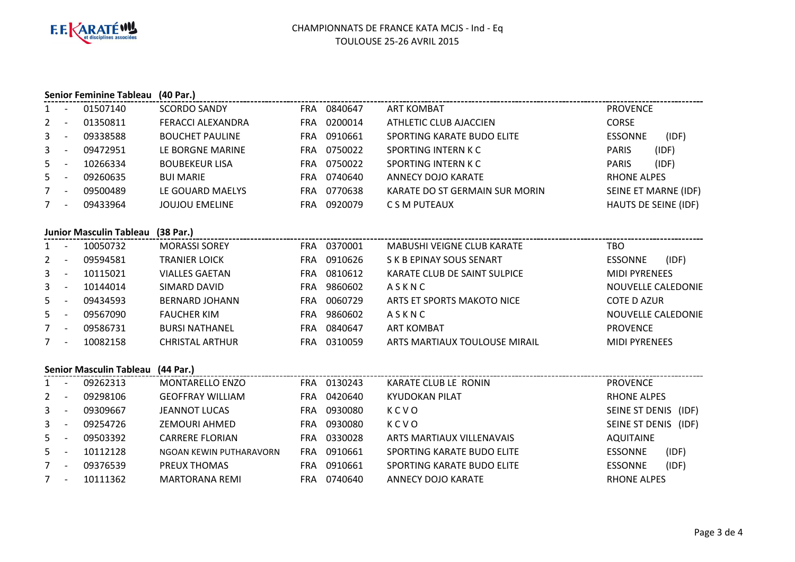

|                |                          | <b>Senior Feminine Tableau</b> | (40 Par.)                |            |             |                                   |                           |
|----------------|--------------------------|--------------------------------|--------------------------|------------|-------------|-----------------------------------|---------------------------|
| 1              | $\overline{\phantom{a}}$ | 01507140                       | <b>SCORDO SANDY</b>      |            | FRA 0840647 | ART KOMBAT                        | <b>PROVENCE</b>           |
| $\mathbf{2}$   | $\blacksquare$           | 01350811                       | <b>FERACCI ALEXANDRA</b> |            | FRA 0200014 | ATHLETIC CLUB AJACCIEN            | <b>CORSE</b>              |
| 3              | $\overline{\phantom{a}}$ | 09338588                       | <b>BOUCHET PAULINE</b>   |            | FRA 0910661 | SPORTING KARATE BUDO ELITE        | <b>ESSONNE</b><br>(IDF)   |
| 3              | $\overline{a}$           | 09472951                       | LE BORGNE MARINE         |            | FRA 0750022 | <b>SPORTING INTERN K C</b>        | <b>PARIS</b><br>(IDF)     |
| 5 <sup>1</sup> | $\overline{\phantom{a}}$ | 10266334                       | <b>BOUBEKEUR LISA</b>    | <b>FRA</b> | 0750022     | <b>SPORTING INTERN K C</b>        | <b>PARIS</b><br>(IDF)     |
| 5 <sup>1</sup> |                          | 09260635                       | <b>BUI MARIE</b>         |            | FRA 0740640 | <b>ANNECY DOJO KARATE</b>         | <b>RHONE ALPES</b>        |
| $7^{\circ}$    | $\overline{\phantom{a}}$ | 09500489                       | LE GOUARD MAELYS         |            | FRA 0770638 | KARATE DO ST GERMAIN SUR MORIN    | SEINE ET MARNE (IDF)      |
| $7^{\circ}$    | $\overline{\phantom{a}}$ | 09433964                       | <b>JOUJOU EMELINE</b>    |            | FRA 0920079 | C S M PUTEAUX                     | HAUTS DE SEINE (IDF)      |
|                |                          | <b>Junior Masculin Tableau</b> | (38 Par.)                |            |             |                                   |                           |
| $1 -$          |                          | 10050732                       | <b>MORASSI SOREY</b>     |            | FRA 0370001 | <b>MABUSHI VEIGNE CLUB KARATE</b> | <b>TBO</b>                |
| $\overline{2}$ | $\overline{\phantom{a}}$ | 09594581                       | <b>TRANIER LOICK</b>     |            | FRA 0910626 | S K B EPINAY SOUS SENART          | (IDF)<br><b>ESSONNE</b>   |
| $\mathbf{3}$   | $\overline{a}$           | 10115021                       | <b>VIALLES GAETAN</b>    |            | FRA 0810612 | KARATE CLUB DE SAINT SULPICE      | <b>MIDI PYRENEES</b>      |
| 3              | $\overline{a}$           | 10144014                       | SIMARD DAVID             |            | FRA 9860602 | ASKNC                             | <b>NOUVELLE CALEDONIE</b> |
| 5              | $\sim$ $-$               | 09434593                       | <b>BERNARD JOHANN</b>    |            | FRA 0060729 | ARTS ET SPORTS MAKOTO NICE        | <b>COTE D AZUR</b>        |
| 5 <sup>1</sup> | $\overline{\phantom{a}}$ | 09567090                       | <b>FAUCHER KIM</b>       |            | FRA 9860602 | ASKNC                             | <b>NOUVELLE CALEDONIE</b> |
| $7^{\circ}$    |                          | 09586731                       | <b>BURSI NATHANEL</b>    | <b>FRA</b> | 0840647     | <b>ART KOMBAT</b>                 | <b>PROVENCE</b>           |
| $7^{\circ}$    |                          | 10082158                       | <b>CHRISTAL ARTHUR</b>   |            | FRA 0310059 | ARTS MARTIAUX TOULOUSE MIRAIL     | <b>MIDI PYRENEES</b>      |
|                |                          | <b>Senior Masculin Tableau</b> | (44 Par.)                |            |             |                                   |                           |
| 1              | $\sim$                   | 09262313                       | MONTARELLO ENZO          |            | FRA 0130243 | KARATE CLUB LE RONIN              | <b>PROVENCE</b>           |
| $2^{\circ}$    | $\overline{\phantom{a}}$ | 09298106                       | <b>GEOFFRAY WILLIAM</b>  |            | FRA 0420640 | <b>KYUDOKAN PILAT</b>             | <b>RHONE ALPES</b>        |
| 3              | $\overline{\phantom{a}}$ | 09309667                       | <b>JEANNOT LUCAS</b>     |            | FRA 0930080 | KCVO                              | SEINE ST DENIS (IDF)      |
| $\mathbf{3}$   | $\sim$                   | 09254726                       | <b>ZEMOURI AHMED</b>     |            | FRA 0930080 | KCVO                              | SEINE ST DENIS (IDF)      |
| 5              | $\overline{\phantom{a}}$ | 09503392                       | <b>CARRERE FLORIAN</b>   |            | FRA 0330028 | ARTS MARTIAUX VILLENAVAIS         | <b>AQUITAINE</b>          |
| 5              | $\overline{\phantom{a}}$ | 10112128                       | NGOAN KEWIN PUTHARAVORN  | <b>FRA</b> | 0910661     | SPORTING KARATE BUDO ELITE        | (IDF)<br><b>ESSONNE</b>   |
| 7              | $\overline{\phantom{a}}$ | 09376539                       | PREUX THOMAS             |            | FRA 0910661 | SPORTING KARATE BUDO ELITE        | (IDF)<br><b>ESSONNE</b>   |
| $7^{\circ}$    |                          | 10111362                       | <b>MARTORANA REMI</b>    |            | FRA 0740640 | <b>ANNECY DOJO KARATE</b>         | <b>RHONE ALPES</b>        |